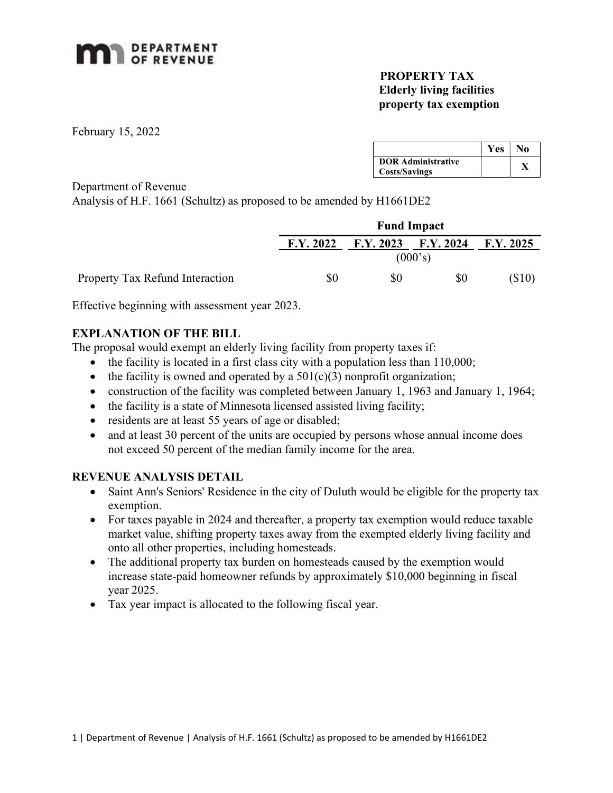

## PROPERTY TAX Elderly living facilities property tax exemption

February 15, 2022

|                           | Yes | No |
|---------------------------|-----|----|
| <b>DOR Administrative</b> |     |    |
| <b>Costs/Savings</b>      |     |    |

Department of Revenue

Analysis of H.F. 1661 (Schultz) as proposed to be amended by H1661DE2

|                                 |           | <b>Fund Impact</b>                  |     |         |  |  |
|---------------------------------|-----------|-------------------------------------|-----|---------|--|--|
|                                 | F.Y. 2022 | $F.Y. 2023$ $F.Y. 2024$ $F.Y. 2025$ |     |         |  |  |
|                                 |           | (000's)                             |     |         |  |  |
| Property Tax Refund Interaction | \$0       | \$0                                 | \$0 | ( \$10) |  |  |

Effective beginning with assessment year 2023.

## EXPLANATION OF THE BILL

The proposal would exempt an elderly living facility from property taxes if:

- $\bullet$  the facility is located in a first class city with a population less than 110,000;
- the facility is owned and operated by a  $501(c)(3)$  nonprofit organization;
- construction of the facility was completed between January 1, 1963 and January 1, 1964;
- $\bullet$  the facility is a state of Minnesota licensed assisted living facility;
- residents are at least 55 years of age or disabled;
- and at least 30 percent of the units are occupied by persons whose annual income does not exceed 50 percent of the median family income for the area.

## REVENUE ANALYSIS DETAIL

- Saint Ann's Seniors' Residence in the city of Duluth would be eligible for the property tax exemption.
- For taxes payable in 2024 and thereafter, a property tax exemption would reduce taxable market value, shifting property taxes away from the exempted elderly living facility and onto all other properties, including homesteads.
- The additional property tax burden on homesteads caused by the exemption would increase state-paid homeowner refunds by approximately \$10,000 beginning in fiscal year 2025.
- Tax year impact is allocated to the following fiscal year.